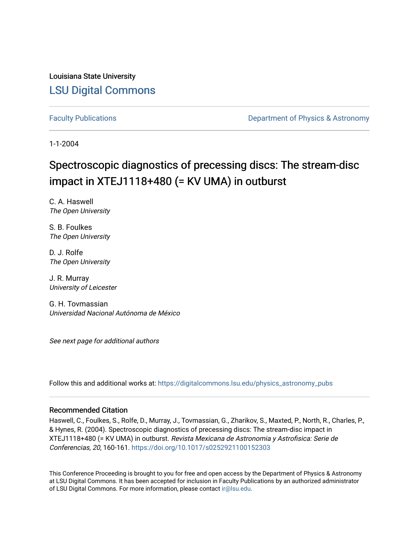Louisiana State University [LSU Digital Commons](https://digitalcommons.lsu.edu/)

[Faculty Publications](https://digitalcommons.lsu.edu/physics_astronomy_pubs) **Exercise 2 and Table 2 and Table 2 and Table 2 and Table 2 and Table 2 and Table 2 and Table 2 and Table 2 and Table 2 and Table 2 and Table 2 and Table 2 and Table 2 and Table 2 and Table 2 and Table** 

1-1-2004

# Spectroscopic diagnostics of precessing discs: The stream-disc impact in XTEJ1118+480 (= KV UMA) in outburst

C. A. Haswell The Open University

S. B. Foulkes The Open University

D. J. Rolfe The Open University

J. R. Murray University of Leicester

G. H. Tovmassian Universidad Nacional Autónoma de México

See next page for additional authors

Follow this and additional works at: [https://digitalcommons.lsu.edu/physics\\_astronomy\\_pubs](https://digitalcommons.lsu.edu/physics_astronomy_pubs?utm_source=digitalcommons.lsu.edu%2Fphysics_astronomy_pubs%2F2640&utm_medium=PDF&utm_campaign=PDFCoverPages) 

#### Recommended Citation

Haswell, C., Foulkes, S., Rolfe, D., Murray, J., Tovmassian, G., Zharikov, S., Maxted, P., North, R., Charles, P., & Hynes, R. (2004). Spectroscopic diagnostics of precessing discs: The stream-disc impact in XTEJ1118+480 (= KV UMA) in outburst. Revista Mexicana de Astronomia y Astrofisica: Serie de Conferencias, 20, 160-161.<https://doi.org/10.1017/s0252921100152303>

This Conference Proceeding is brought to you for free and open access by the Department of Physics & Astronomy at LSU Digital Commons. It has been accepted for inclusion in Faculty Publications by an authorized administrator of LSU Digital Commons. For more information, please contact [ir@lsu.edu](mailto:ir@lsu.edu).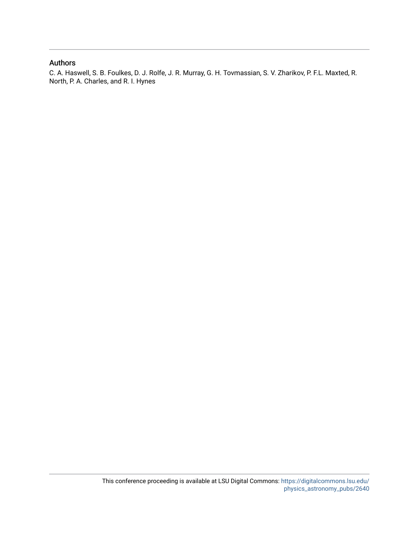### Authors

C. A. Haswell, S. B. Foulkes, D. J. Rolfe, J. R. Murray, G. H. Tovmassian, S. V. Zharikov, P. F.L. Maxted, R. North, P. A. Charles, and R. I. Hynes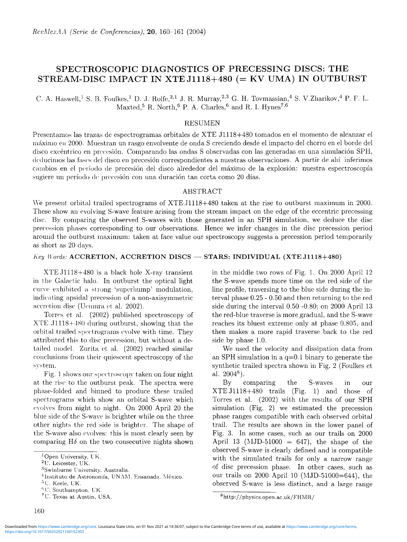# **SPECTROSCOPIC DIAGNOSTICS OF PRECESSING DISCS: THE STREAM-DISC IMPACT IN XTE J1118+480 (= KV UMA) IN OUTBURST**

C. A. Haswell,<sup>1</sup> S. B. Foulkes,<sup>1</sup> D. J. Rolfe,<sup>2,1</sup> J. R. Murray,<sup>2,3</sup> G. H. Tovmassian,<sup>4</sup> S. V.Zharikov,<sup>4</sup> P. F. L. Maxted,<sup>5</sup> R. North,<sup>6</sup> P. A. Charles,<sup>6</sup> and R. I. Hynes<sup>7,6</sup>

#### RESUMEN

Presentamos las trazas de espectrogramas orbitales de XTE J1118+480 tornados en el momento de alcanzar el máximo en 2000. Muestran un rasgo envolvente de onda S creciendo desde el impacto del chorro en el borde del disco excéntrico en precesión. Comparando las ondas S observadas con las generadas en una simulación SPH, deducimos las fases del disco en precesión correspondientes a nuestras observaciones. A partir de ahí inferimos cambios en el período de precesión del disco alrededor del máximo de la explosión: nuestra espectroscopía sugiere un período de precesión con una duración tan corta como 20 días.

# ABSTRACT

We present orbital trailed spectrograms of XTE J1118+480 taken at the rise to outburst maximum in 2000. These show an evolving S-wave feature arising from the stream impact on the edge of the eccentric precessing disc. By comparing the observed S-waves with those generated in an SPH simulation, we deduce the disc precession phases corresponding to our observations. Hence we infer changes in the disc precession period around the outburst maximum: taken at face value our spectroscopy suggests a precession period temporarily as short as 20 days.

#### *Key Words:* **ACCRETION, ACCRETION DISCS — STARS: INDIVIDUAL (XTE J1118+480)**

XTE J1118+480 is a black hole X-ray transient in the Galactic halo. In outburst the optical light curve exhibited a strong 'superhump' modulation, indicating apsidal precession of a non-axisymmetric accretion disc (Uemura et al. 2002).

Torres et al. (2002) published spectroscopy of XTE J1118+480 during outburst, showing that the orbital trailed spectrograms evolve with time. They attributed this to disc precession, but without a detailed model. Zurita et al. (2002) reached similar conclusions from their quiescent spectroscopy of the system.

Fig. 1 shows our spectroscopy taken on four night at the rise to the outburst peak. The spectra were phase-folded and binned to produce these trailed spectrograms which show an orbital S-wave which evolves from night to night. On 2000 April 20 the blue side of the S-wave is brighter while on the three other nights the red side is brighter. The shape of the S-wave also evolves: this is most clearly seen by comparing  $H\delta$  on the two consecutive nights shown

in the middle two rows of Fig. 1. On 2000 April 12 the S-wave spends more time on the red side of the line profile, traversing to the blue side during the interval phase 0.25 - 0.50 and then returning to the red side during the interval 0.50 -0.80; on 2000 April 13 the red-blue traverse is more gradual, and the S-wave reaches its bluest extreme only at phase 0.805, and then makes a more rapid traverse back to the red side by phase 1.0.

We used the velocity and dissipation data from an SPH simulation in a  $q=0.1$  binary to generate the synthetic trailed spectra shown in Fig. 2 (Foulkes et al.  $2004^8$ ).

By comparing the S-waves in our XTE J1118+480 trails (Fig. 1) and those of Torres et al. (2002) with the results of our SPH simulation (Fig. 2) we estimated the precession phase ranges compatible with each observed orbital trail. The results are shown in the lower panel of Fig. 3. In some cases, such as our trails on 2000 April 13 (MJD-51000 = 647), the shape of the observed S-wave is clearly defined and is compatible with the simulated trails for only a narrow range of disc precession phase. In other cases, such as our trails on 2000 April 10 (MJD-51000=644), the observed S-wave is less distinct, and a large range

**<sup>^</sup>Open University, UK.**

**<sup>^</sup>U. Leicester, UK.**

**<sup>■^</sup>Swinburne University. Australia.**

<sup>&</sup>lt;sup>4</sup>Instituto de Astronomía, UNAM. Ensanada. México.

 $5$ U. Keele, UK.

*<sup>&#</sup>x27;W .* **Southampton, UK.**

**<sup>^</sup>U. Texas at Austin, USA.**

**<sup>&#</sup>x27;http://physics.open.ac.uk/FHMR/**